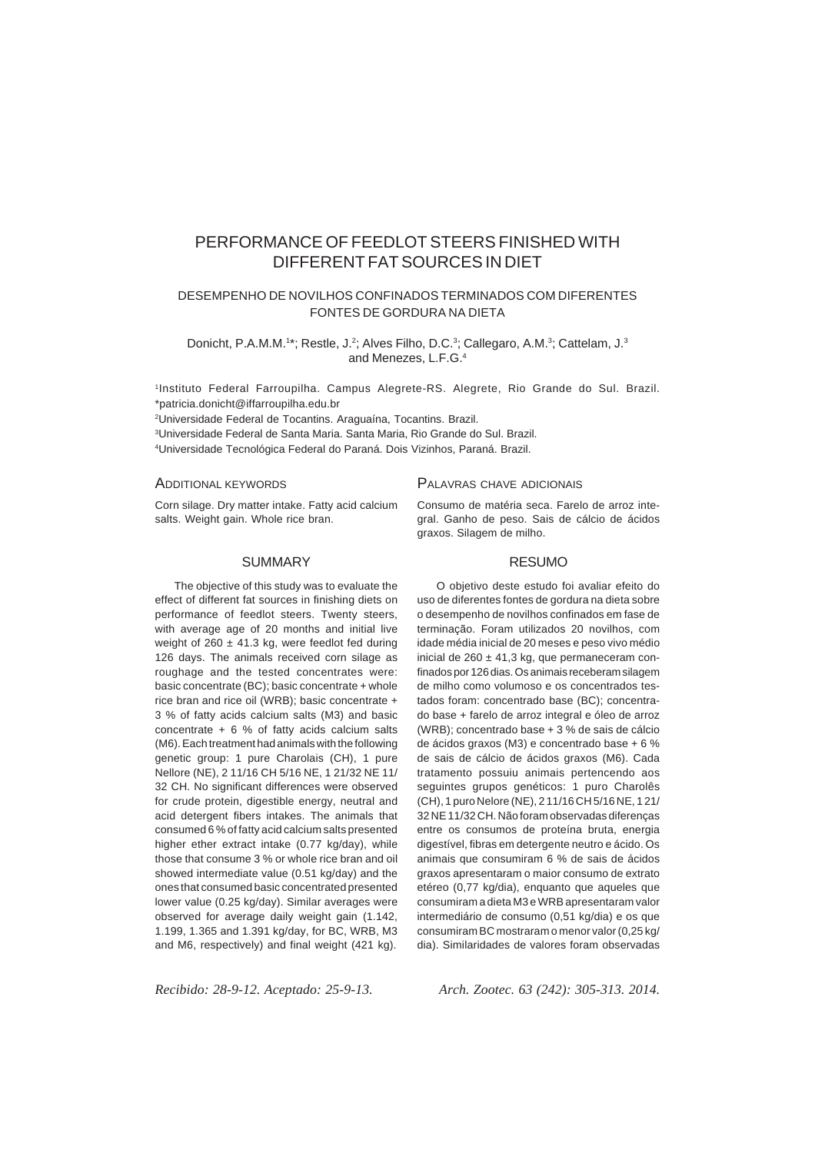# PERFORMANCE OF FEEDLOT STEERS FINISHED WITH DIFFERENT FAT SOURCES IN DIET

# DESEMPENHO DE NOVILHOS CONFINADOS TERMINADOS COM DIFERENTES FONTES DE GORDURA NA DIETA

Donicht, P.A.M.M.<sup>1\*</sup>; Restle, J.<sup>2</sup>; Alves Filho, D.C.<sup>3</sup>; Callegaro, A.M.<sup>3</sup>; Cattelam, J.<sup>3</sup> and Menezes, L.F.G.4

1Instituto Federal Farroupilha. Campus Alegrete-RS. Alegrete, Rio Grande do Sul. Brazil. \*patricia.donicht@iffarroupilha.edu.br

2Universidade Federal de Tocantins. Araguaína, Tocantins. Brazil.

3 Universidade Federal de Santa Maria. Santa Maria, Rio Grande do Sul. Brazil. 4Universidade Tecnológica Federal do Paraná. Dois Vizinhos, Paraná. Brazil.

#### ADDITIONAL KEYWORDS

Corn silage. Dry matter intake. Fatty acid calcium salts. Weight gain. Whole rice bran.

#### **SUMMARY**

The objective of this study was to evaluate the effect of different fat sources in finishing diets on performance of feedlot steers. Twenty steers, with average age of 20 months and initial live weight of 260  $\pm$  41.3 kg, were feedlot fed during 126 days. The animals received corn silage as roughage and the tested concentrates were: basic concentrate (BC); basic concentrate + whole rice bran and rice oil (WRB); basic concentrate + 3 % of fatty acids calcium salts (M3) and basic concentrate  $+ 6 %$  of fatty acids calcium salts (M6). Each treatment had animals with the following genetic group: 1 pure Charolais (CH), 1 pure Nellore (NE), 2 11/16 CH 5/16 NE, 1 21/32 NE 11/ 32 CH. No significant differences were observed for crude protein, digestible energy, neutral and acid detergent fibers intakes. The animals that consumed 6 % of fatty acid calcium salts presented higher ether extract intake (0.77 kg/day), while those that consume 3 % or whole rice bran and oil showed intermediate value (0.51 kg/day) and the ones that consumed basic concentrated presented lower value (0.25 kg/day). Similar averages were observed for average daily weight gain (1.142, 1.199, 1.365 and 1.391 kg/day, for BC, WRB, M3 and M6, respectively) and final weight (421 kg).

## PALAVRAS CHAVE ADICIONAIS

Consumo de matéria seca. Farelo de arroz integral. Ganho de peso. Sais de cálcio de ácidos graxos. Silagem de milho.

#### RESUMO

O objetivo deste estudo foi avaliar efeito do uso de diferentes fontes de gordura na dieta sobre o desempenho de novilhos confinados em fase de terminação. Foram utilizados 20 novilhos, com idade média inicial de 20 meses e peso vivo médio inicial de 260  $\pm$  41,3 kg, que permaneceram confinados por 126 dias. Os animais receberam silagem de milho como volumoso e os concentrados testados foram: concentrado base (BC); concentrado base + farelo de arroz integral e óleo de arroz (WRB); concentrado base + 3 % de sais de cálcio de ácidos graxos (M3) e concentrado base + 6 % de sais de cálcio de ácidos graxos (M6). Cada tratamento possuiu animais pertencendo aos seguintes grupos genéticos: 1 puro Charolês (CH), 1 puro Nelore (NE), 2 11/16 CH 5/16 NE, 1 21/ 32 NE 11/32 CH. Não foram observadas diferenças entre os consumos de proteína bruta, energia digestível, fibras em detergente neutro e ácido. Os animais que consumiram 6 % de sais de ácidos graxos apresentaram o maior consumo de extrato etéreo (0,77 kg/dia), enquanto que aqueles que consumiram a dieta M3 e WRB apresentaram valor intermediário de consumo (0,51 kg/dia) e os que consumiram BC mostraram o menor valor (0,25 kg/ dia). Similaridades de valores foram observadas

*Recibido: 28-9-12. Aceptado: 25-9-13. Arch. Zootec. 63 (242): 305-313. 2014.*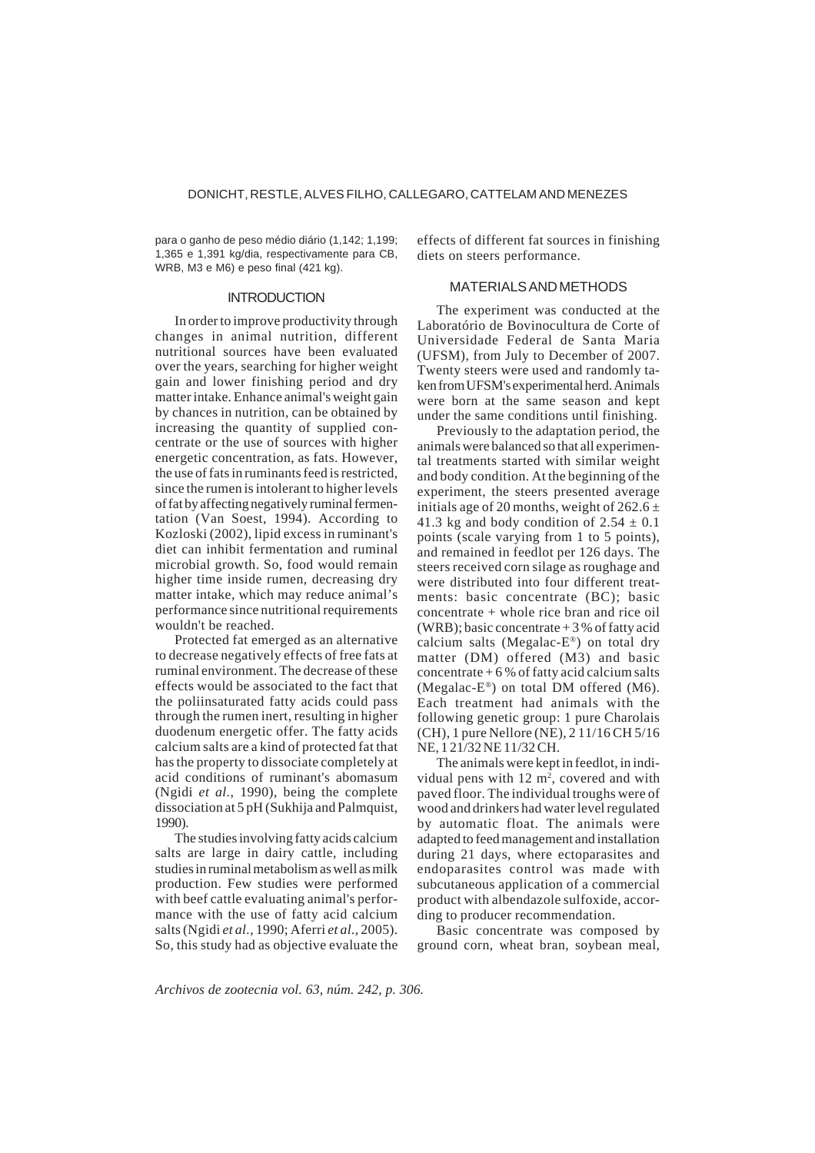para o ganho de peso médio diário (1,142; 1,199; 1,365 e 1,391 kg/dia, respectivamente para CB, WRB, M3 e M6) e peso final (421 kg).

#### **INTRODUCTION**

In order to improve productivity through changes in animal nutrition, different nutritional sources have been evaluated over the years, searching for higher weight gain and lower finishing period and dry matter intake. Enhance animal's weight gain by chances in nutrition, can be obtained by increasing the quantity of supplied concentrate or the use of sources with higher energetic concentration, as fats. However, the use of fats in ruminants feed is restricted, since the rumen is intolerant to higher levels of fat by affecting negatively ruminal fermentation (Van Soest, 1994). According to Kozloski (2002), lipid excess in ruminant's diet can inhibit fermentation and ruminal microbial growth. So, food would remain higher time inside rumen, decreasing dry matter intake, which may reduce animal's performance since nutritional requirements wouldn't be reached.

Protected fat emerged as an alternative to decrease negatively effects of free fats at ruminal environment. The decrease of these effects would be associated to the fact that the poliinsaturated fatty acids could pass through the rumen inert, resulting in higher duodenum energetic offer. The fatty acids calcium salts are a kind of protected fat that has the property to dissociate completely at acid conditions of ruminant's abomasum (Ngidi *et al.*, 1990), being the complete dissociation at 5 pH (Sukhija and Palmquist, 1990).

The studies involving fatty acids calcium salts are large in dairy cattle, including studies in ruminal metabolism as well as milk production. Few studies were performed with beef cattle evaluating animal's performance with the use of fatty acid calcium salts (Ngidi *et al.*, 1990; Aferri *et al.*, 2005). So, this study had as objective evaluate the effects of different fat sources in finishing diets on steers performance.

#### MATERIALS AND METHODS

The experiment was conducted at the Laboratório de Bovinocultura de Corte of Universidade Federal de Santa Maria (UFSM), from July to December of 2007. Twenty steers were used and randomly taken from UFSM's experimental herd. Animals were born at the same season and kept under the same conditions until finishing.

Previously to the adaptation period, the animals were balanced so that all experimental treatments started with similar weight and body condition. At the beginning of the experiment, the steers presented average initials age of 20 months, weight of  $262.6 \pm$ 41.3 kg and body condition of  $2.54 \pm 0.1$ points (scale varying from 1 to 5 points), and remained in feedlot per 126 days. The steers received corn silage as roughage and were distributed into four different treatments: basic concentrate (BC); basic concentrate + whole rice bran and rice oil (WRB); basic concentrate  $+3%$  of fatty acid calcium salts (Megalac-E®) on total dry matter (DM) offered (M3) and basic concentrate  $+6%$  of fatty acid calcium salts (Megalac- $E^{\circledast}$ ) on total DM offered (M6). Each treatment had animals with the following genetic group: 1 pure Charolais (CH), 1 pure Nellore (NE), 2 11/16 CH 5/16 NE, 1 21/32 NE 11/32 CH.

The animals were kept in feedlot, in individual pens with  $12 \text{ m}^2$ , covered and with paved floor. The individual troughs were of wood and drinkers had water level regulated by automatic float. The animals were adapted to feed management and installation during 21 days, where ectoparasites and endoparasites control was made with subcutaneous application of a commercial product with albendazole sulfoxide, according to producer recommendation.

Basic concentrate was composed by ground corn, wheat bran, soybean meal,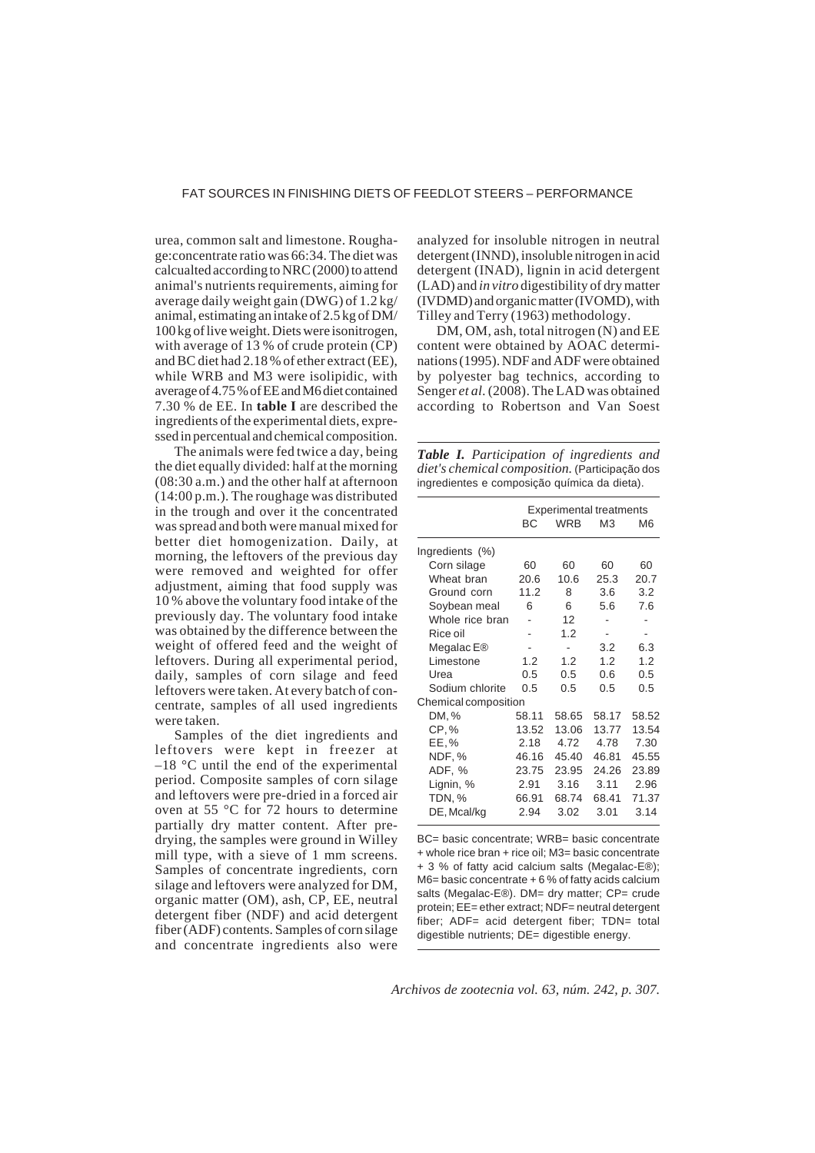urea, common salt and limestone. Roughage:concentrate ratio was 66:34. The diet was calcualted according to NRC (2000) to attend animal's nutrients requirements, aiming for average daily weight gain (DWG) of 1.2 kg/ animal, estimating an intake of 2.5 kg of DM/ 100 kg of live weight. Diets were isonitrogen, with average of 13 % of crude protein (CP) and BC diet had 2.18 % of ether extract (EE), while WRB and M3 were isolipidic, with average of 4.75 % of EE and M6 diet contained 7.30 % de EE. In **table I** are described the ingredients of the experimental diets, expressed in percentual and chemical composition.

The animals were fed twice a day, being the diet equally divided: half at the morning (08:30 a.m.) and the other half at afternoon (14:00 p.m.). The roughage was distributed in the trough and over it the concentrated was spread and both were manual mixed for better diet homogenization. Daily, at morning, the leftovers of the previous day were removed and weighted for offer adjustment, aiming that food supply was 10 % above the voluntary food intake of the previously day. The voluntary food intake was obtained by the difference between the weight of offered feed and the weight of leftovers. During all experimental period, daily, samples of corn silage and feed leftovers were taken. At every batch of concentrate, samples of all used ingredients were taken.

Samples of the diet ingredients and leftovers were kept in freezer at  $-18$  °C until the end of the experimental period. Composite samples of corn silage and leftovers were pre-dried in a forced air oven at 55 °C for 72 hours to determine partially dry matter content. After predrying, the samples were ground in Willey mill type, with a sieve of 1 mm screens. Samples of concentrate ingredients, corn silage and leftovers were analyzed for DM, organic matter (OM), ash, CP, EE, neutral detergent fiber (NDF) and acid detergent fiber (ADF) contents. Samples of corn silage and concentrate ingredients also were

analyzed for insoluble nitrogen in neutral detergent (INND), insoluble nitrogen in acid detergent (INAD), lignin in acid detergent (LAD) and *in vitro* digestibility of dry matter (IVDMD) and organic matter (IVOMD), with Tilley and Terry (1963) methodology.

DM, OM, ash, total nitrogen (N) and EE content were obtained by AOAC determinations (1995). NDF and ADF were obtained by polyester bag technics, according to Senger *et al.* (2008). The LAD was obtained according to Robertson and Van Soest

| Table I. Participation of ingredients and             |  |  |  |  |  |
|-------------------------------------------------------|--|--|--|--|--|
| <i>diet's chemical composition.</i> (Participação dos |  |  |  |  |  |
| ingredientes e composição química da dieta).          |  |  |  |  |  |

|                        | <b>Experimental treatments</b> |            |       |       |  |  |
|------------------------|--------------------------------|------------|-------|-------|--|--|
|                        | ВC                             | <b>WRB</b> | MЗ    | M6    |  |  |
| Ingredients (%)        |                                |            |       |       |  |  |
| Corn silage            | 60                             | 60         | 60    | 60    |  |  |
| Wheat bran             | 20.6                           | 10.6       | 25.3  | 20.7  |  |  |
| Ground corn            | 11.2                           | 8          | 3.6   | 3.2   |  |  |
| Soybean meal           | 6                              | 6          | 5.6   | 7.6   |  |  |
| Whole rice bran        |                                | 12         |       |       |  |  |
| Rice oil               |                                | 1.2        |       |       |  |  |
| Megalac E <sup>®</sup> |                                |            | 3.2   | 6.3   |  |  |
| Limestone              | 1.2                            | 1.2        | 1.2   | 1.2   |  |  |
| Urea                   | 0.5                            | 0.5        | 0.6   | 0.5   |  |  |
| Sodium chlorite        | 0.5                            | 0.5        | 0.5   | 0.5   |  |  |
| Chemical composition   |                                |            |       |       |  |  |
| DM, %                  | 58.11                          | 58.65      | 58.17 | 58.52 |  |  |
| CP,%                   | 13.52                          | 13.06      | 13.77 | 13.54 |  |  |
| EE,%                   | 2.18                           | 4.72       | 4.78  | 7.30  |  |  |
| NDF, %                 | 46.16                          | 45.40      | 46.81 | 45.55 |  |  |
| ADF, %                 | 23.75                          | 23.95      | 24.26 | 23.89 |  |  |
| Lignin, %              | 2.91                           | 3.16       | 3.11  | 2.96  |  |  |
| TDN, %                 | 66.91                          | 68.74      | 68.41 | 71.37 |  |  |
| DE, Mcal/kg            | 2.94                           | 3.02       | 3.01  | 3.14  |  |  |

BC= basic concentrate; WRB= basic concentrate + whole rice bran + rice oil; M3= basic concentrate + 3 % of fatty acid calcium salts (Megalac-E®); M6= basic concentrate + 6 % of fatty acids calcium salts (Megalac-E®). DM= dry matter; CP= crude protein; EE= ether extract; NDF= neutral detergent fiber; ADF= acid detergent fiber; TDN= total digestible nutrients; DE= digestible energy.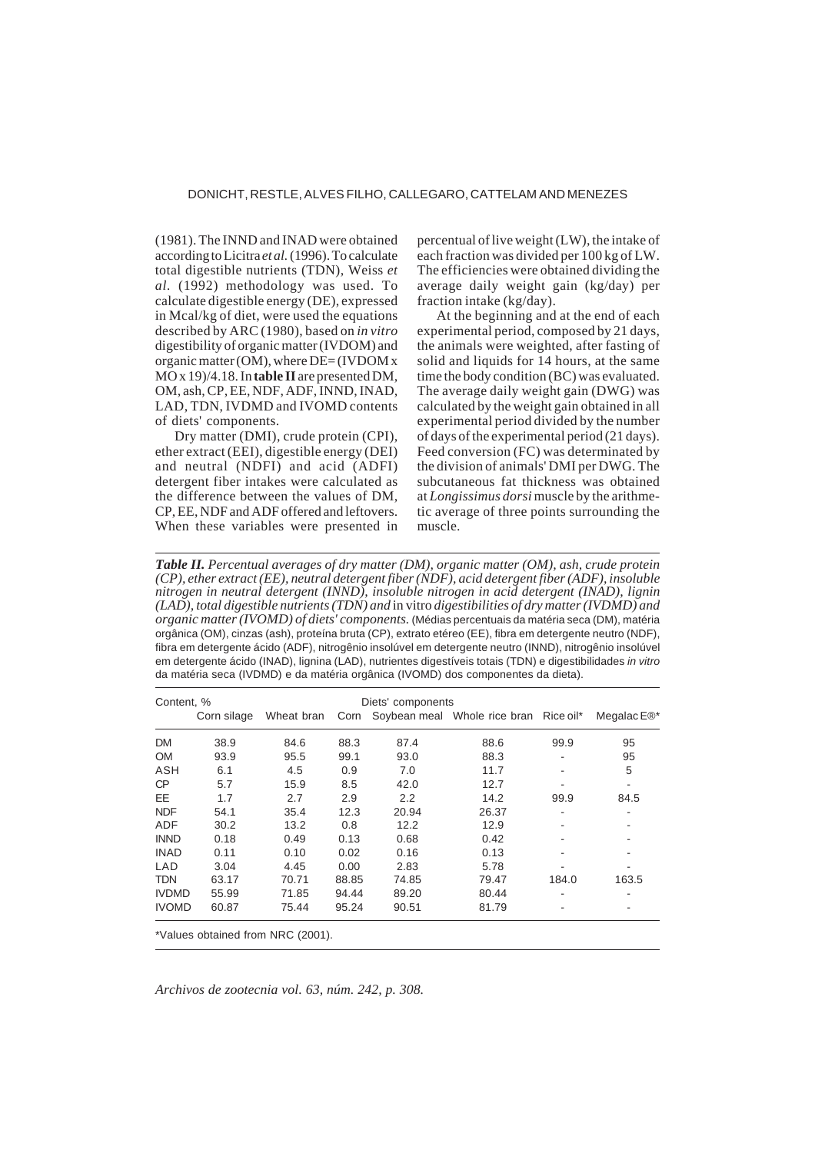## DONICHT, RESTLE, ALVES FILHO, CALLEGARO, CATTELAM AND MENEZES

(1981). The INND and INAD were obtained according to Licitra *et al.* (1996). To calculate total digestible nutrients (TDN), Weiss *et al.* (1992) methodology was used. To calculate digestible energy (DE), expressed in Mcal/kg of diet, were used the equations described by ARC (1980), based on *in vitro* digestibility of organic matter (IVDOM) and organic matter (OM), where DE= (IVDOM x MO x 19)/4.18. In **table II** are presented DM, OM, ash, CP, EE, NDF, ADF, INND, INAD, LAD, TDN, IVDMD and IVOMD contents of diets' components.

Dry matter (DMI), crude protein (CPI), ether extract (EEI), digestible energy (DEI) and neutral (NDFI) and acid (ADFI) detergent fiber intakes were calculated as the difference between the values of DM, CP, EE, NDF and ADF offered and leftovers. When these variables were presented in percentual of live weight (LW), the intake of each fraction was divided per 100 kg of LW. The efficiencies were obtained dividing the average daily weight gain (kg/day) per fraction intake (kg/day).

At the beginning and at the end of each experimental period, composed by 21 days, the animals were weighted, after fasting of solid and liquids for 14 hours, at the same time the body condition (BC) was evaluated. The average daily weight gain (DWG) was calculated by the weight gain obtained in all experimental period divided by the number of days of the experimental period (21 days). Feed conversion (FC) was determinated by the division of animals' DMI per DWG. The subcutaneous fat thickness was obtained at *Longissimus dorsi* muscle by the arithmetic average of three points surrounding the muscle.

*Table II. Percentual averages of dry matter (DM), organic matter (OM), ash, crude protein (CP), ether extract (EE), neutral detergent fiber (NDF), acid detergent fiber (ADF), insoluble nitrogen in neutral detergent (INND), insoluble nitrogen in acid detergent (INAD), lignin (LAD), total digestible nutrients (TDN) and* in vitro *digestibilities of dry matter (IVDMD) and organic matter (IVOMD) of diets' components.* (Médias percentuais da matéria seca (DM), matéria orgânica (OM), cinzas (ash), proteína bruta (CP), extrato etéreo (EE), fibra em detergente neutro (NDF), fibra em detergente ácido (ADF), nitrogênio insolúvel em detergente neutro (INND), nitrogênio insolúvel em detergente ácido (INAD), lignina (LAD), nutrientes digestíveis totais (TDN) e digestibilidades *in vitro* da matéria seca (IVDMD) e da matéria orgânica (IVOMD) dos componentes da dieta).

| Content, %   |             |                                   | Diets' components |       |                                             |       |                      |
|--------------|-------------|-----------------------------------|-------------------|-------|---------------------------------------------|-------|----------------------|
|              | Corn silage | Wheat bran                        |                   |       | Corn Soybean meal Whole rice bran Rice oil* |       | Megalac $E\otimes^*$ |
| <b>DM</b>    | 38.9        | 84.6                              | 88.3              | 87.4  | 88.6                                        | 99.9  | 95                   |
| <b>OM</b>    | 93.9        | 95.5                              | 99.1              | 93.0  | 88.3                                        |       | 95                   |
| ASH          | 6.1         | 4.5                               | 0.9               | 7.0   | 11.7                                        |       | 5                    |
| CP           | 5.7         | 15.9                              | 8.5               | 42.0  | 12.7                                        |       |                      |
| <b>EE</b>    | 1.7         | 2.7                               | 2.9               | 2.2   | 14.2                                        | 99.9  | 84.5                 |
| <b>NDF</b>   | 54.1        | 35.4                              | 12.3              | 20.94 | 26.37                                       |       |                      |
| <b>ADF</b>   | 30.2        | 13.2                              | 0.8               | 12.2  | 12.9                                        |       |                      |
| <b>INND</b>  | 0.18        | 0.49                              | 0.13              | 0.68  | 0.42                                        | ٠     |                      |
| <b>INAD</b>  | 0.11        | 0.10                              | 0.02              | 0.16  | 0.13                                        |       |                      |
| LAD          | 3.04        | 4.45                              | 0.00              | 2.83  | 5.78                                        |       |                      |
| <b>TDN</b>   | 63.17       | 70.71                             | 88.85             | 74.85 | 79.47                                       | 184.0 | 163.5                |
| <b>IVDMD</b> | 55.99       | 71.85                             | 94.44             | 89.20 | 80.44                                       |       |                      |
| <b>IVOMD</b> | 60.87       | 75.44                             | 95.24             | 90.51 | 81.79                                       |       |                      |
|              |             | *Values obtained from NRC (2001). |                   |       |                                             |       |                      |

*Archivos de zootecnia vol. 63, núm. 242, p. 308.*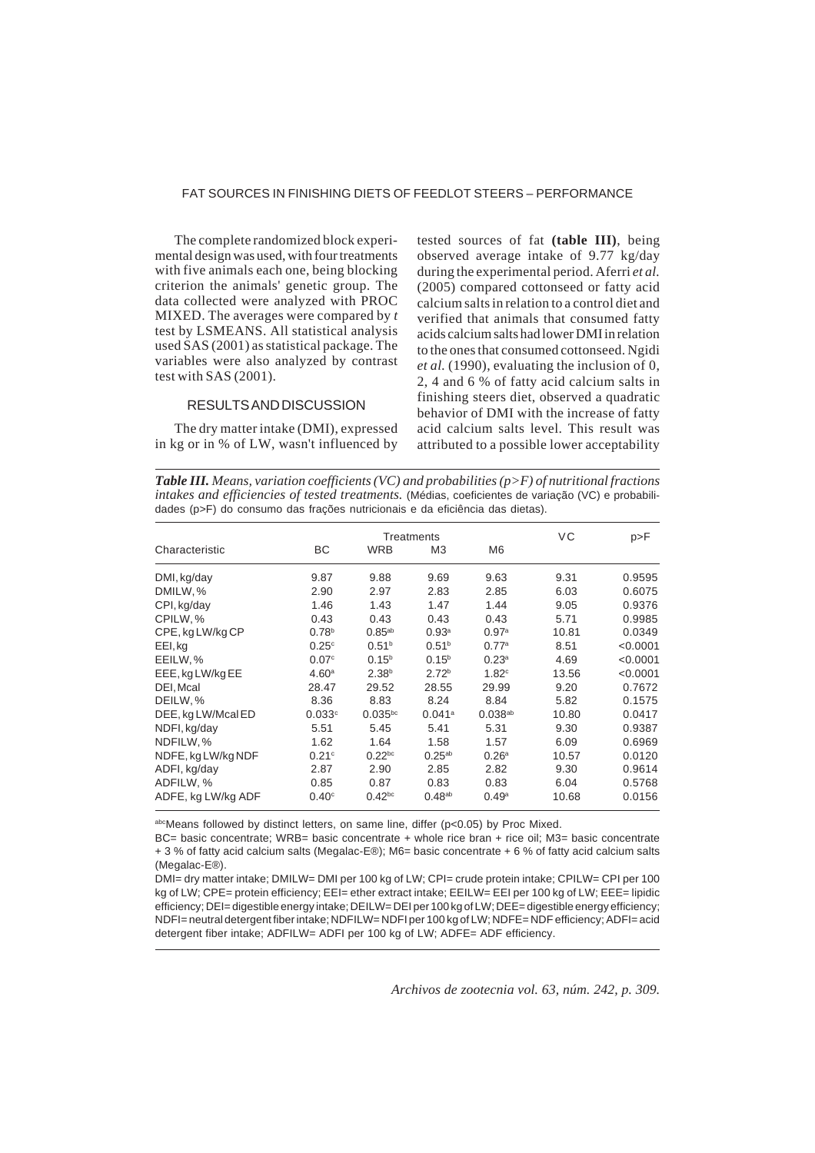# FAT SOURCES IN FINISHING DIETS OF FEEDLOT STEERS – PERFORMANCE

The complete randomized block experimental design was used, with four treatments with five animals each one, being blocking criterion the animals' genetic group. The data collected were analyzed with PROC MIXED. The averages were compared by *t* test by LSMEANS. All statistical analysis used SAS (2001) as statistical package. The variables were also analyzed by contrast test with SAS (2001).

## RESULTS AND DISCUSSION

The dry matter intake (DMI), expressed in kg or in % of LW, wasn't influenced by tested sources of fat **(table III)**, being observed average intake of 9.77 kg/day during the experimental period. Aferri *et al.* (2005) compared cottonseed or fatty acid calcium salts in relation to a control diet and verified that animals that consumed fatty acids calcium salts had lower DMI in relation to the ones that consumed cottonseed. Ngidi *et al.* (1990), evaluating the inclusion of 0, 2, 4 and 6 % of fatty acid calcium salts in finishing steers diet, observed a quadratic behavior of DMI with the increase of fatty acid calcium salts level. This result was attributed to a possible lower acceptability

*Table III. Means, variation coefficients (VC) and probabilities (p>F) of nutritional fractions intakes and efficiencies of tested treatments.* (Médias, coeficientes de variação (VC) e probabilidades (p>F) do consumo das frações nutricionais e da eficiência das dietas).

|                    |                   | Treatments        | VC                | p > F             |       |          |
|--------------------|-------------------|-------------------|-------------------|-------------------|-------|----------|
| Characteristic     | ВC                | <b>WRB</b>        | M3                | M <sub>6</sub>    |       |          |
| DMI, kg/day        | 9.87              | 9.88              | 9.69              | 9.63              | 9.31  | 0.9595   |
| DMILW, %           | 2.90              | 2.97              | 2.83              | 2.85              | 6.03  | 0.6075   |
| CPI, kg/day        | 1.46              | 1.43              | 1.47              | 1.44              | 9.05  | 0.9376   |
| CPILW, %           | 0.43              | 0.43              | 0.43              | 0.43              | 5.71  | 0.9985   |
| CPE, kg LW/kg CP   | 0.78 <sup>b</sup> | $0.85^{ab}$       | 0.93 <sup>a</sup> | 0.97 <sup>a</sup> | 10.81 | 0.0349   |
| EEI, kg            | 0.25c             | 0.51 <sup>b</sup> | 0.51 <sup>b</sup> | 0.77a             | 8.51  | < 0.0001 |
| EEILW, %           | 0.07 <sup>c</sup> | $0.15^{b}$        | $0.15^{b}$        | 0.23 <sup>a</sup> | 4.69  | < 0.0001 |
| EEE, kg LW/kg EE   | 4.60 <sup>a</sup> | 2.38 <sup>b</sup> | 2.72 <sup>b</sup> | 1.82 <sup>c</sup> | 13.56 | < 0.0001 |
| DEI, Mcal          | 28.47             | 29.52             | 28.55             | 29.99             | 9.20  | 0.7672   |
| DEILW, %           | 8.36              | 8.83              | 8.24              | 8.84              | 5.82  | 0.1575   |
| DEE, kg LW/Mcal ED | 0.033c            | $0.035^{bc}$      | 0.041a            | $0.038^{ab}$      | 10.80 | 0.0417   |
| NDFI, kg/day       | 5.51              | 5.45              | 5.41              | 5.31              | 9.30  | 0.9387   |
| NDFILW, %          | 1.62              | 1.64              | 1.58              | 1.57              | 6.09  | 0.6969   |
| NDFE, kg LW/kg NDF | 0.21c             | $0.22^{bc}$       | $0.25^{ab}$       | 0.26 <sup>a</sup> | 10.57 | 0.0120   |
| ADFI, kg/day       | 2.87              | 2.90              | 2.85              | 2.82              | 9.30  | 0.9614   |
| ADFILW, %          | 0.85              | 0.87              | 0.83              | 0.83              | 6.04  | 0.5768   |
| ADFE, kg LW/kg ADF | 0.40 <sup>c</sup> | $0.42^{bc}$       | $0.48^{ab}$       | 0.49 <sup>a</sup> | 10.68 | 0.0156   |

abcMeans followed by distinct letters, on same line, differ (p<0.05) by Proc Mixed.

BC= basic concentrate; WRB= basic concentrate + whole rice bran + rice oil; M3= basic concentrate + 3 % of fatty acid calcium salts (Megalac-E®); M6= basic concentrate + 6 % of fatty acid calcium salts (Megalac-E®).

DMI= dry matter intake; DMILW= DMI per 100 kg of LW; CPI= crude protein intake; CPILW= CPI per 100 kg of LW; CPE= protein efficiency; EEI= ether extract intake; EEILW= EEI per 100 kg of LW; EEE= lipidic efficiency; DEI= digestible energy intake; DEILW= DEI per 100 kg of LW; DEE= digestible energy efficiency; NDFI= neutral detergent fiber intake; NDFILW= NDFI per 100 kg of LW; NDFE= NDF efficiency; ADFI= acid detergent fiber intake; ADFILW= ADFI per 100 kg of LW; ADFE= ADF efficiency.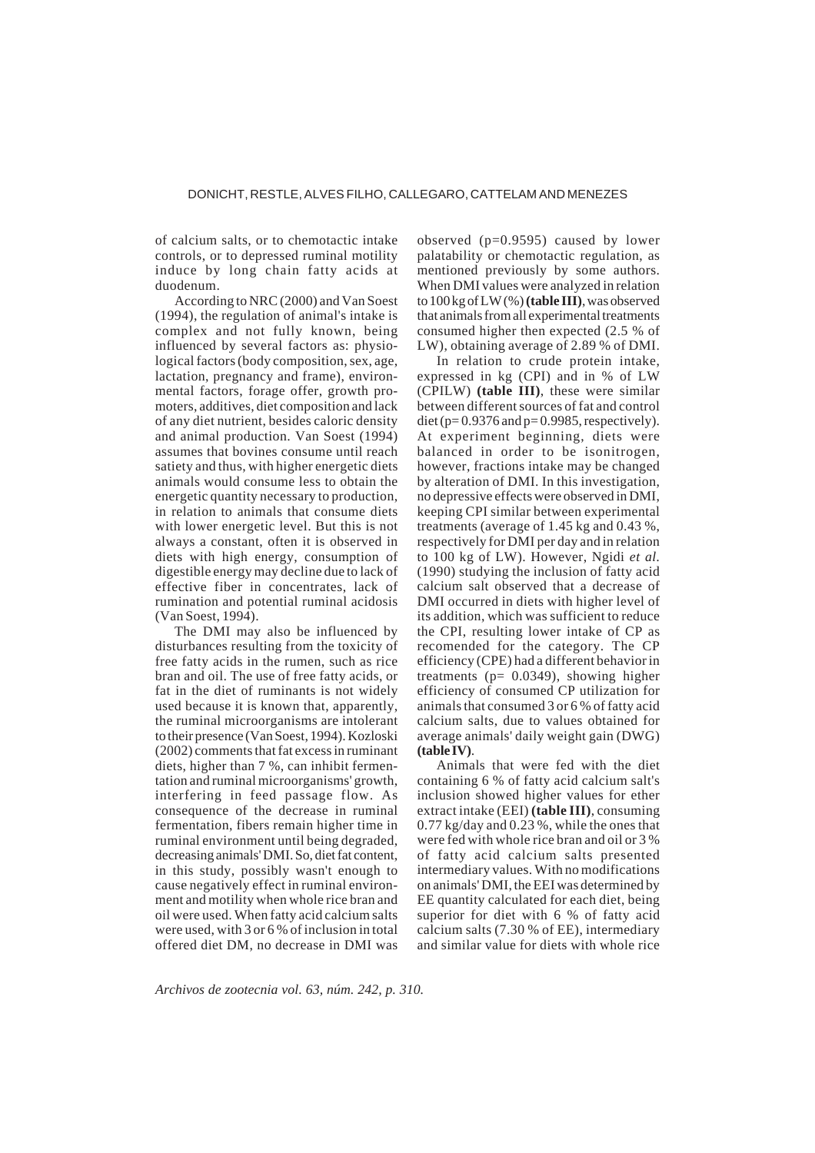of calcium salts, or to chemotactic intake controls, or to depressed ruminal motility induce by long chain fatty acids at duodenum.

According to NRC (2000) and Van Soest (1994), the regulation of animal's intake is complex and not fully known, being influenced by several factors as: physiological factors (body composition, sex, age, lactation, pregnancy and frame), environmental factors, forage offer, growth promoters, additives, diet composition and lack of any diet nutrient, besides caloric density and animal production. Van Soest (1994) assumes that bovines consume until reach satiety and thus, with higher energetic diets animals would consume less to obtain the energetic quantity necessary to production, in relation to animals that consume diets with lower energetic level. But this is not always a constant, often it is observed in diets with high energy, consumption of digestible energy may decline due to lack of effective fiber in concentrates, lack of rumination and potential ruminal acidosis (Van Soest, 1994).

The DMI may also be influenced by disturbances resulting from the toxicity of free fatty acids in the rumen, such as rice bran and oil. The use of free fatty acids, or fat in the diet of ruminants is not widely used because it is known that, apparently, the ruminal microorganisms are intolerant to their presence (Van Soest, 1994). Kozloski (2002) comments that fat excess in ruminant diets, higher than 7 %, can inhibit fermentation and ruminal microorganisms' growth, interfering in feed passage flow. As consequence of the decrease in ruminal fermentation, fibers remain higher time in ruminal environment until being degraded, decreasing animals' DMI. So, diet fat content, in this study, possibly wasn't enough to cause negatively effect in ruminal environment and motility when whole rice bran and oil were used. When fatty acid calcium salts were used, with 3 or 6 % of inclusion in total offered diet DM, no decrease in DMI was

observed (p=0.9595) caused by lower palatability or chemotactic regulation, as mentioned previously by some authors. When DMI values were analyzed in relation to 100 kg of LW (%) **(table III)**, was observed that animals from all experimental treatments consumed higher then expected (2.5 % of LW), obtaining average of 2.89 % of DMI.

In relation to crude protein intake, expressed in kg (CPI) and in % of LW (CPILW) **(table III)**, these were similar between different sources of fat and control diet ( $p= 0.9376$  and  $p= 0.9985$ , respectively). At experiment beginning, diets were balanced in order to be isonitrogen, however, fractions intake may be changed by alteration of DMI. In this investigation, no depressive effects were observed in DMI, keeping CPI similar between experimental treatments (average of 1.45 kg and 0.43 %, respectively for DMI per day and in relation to 100 kg of LW). However, Ngidi *et al.* (1990) studying the inclusion of fatty acid calcium salt observed that a decrease of DMI occurred in diets with higher level of its addition, which was sufficient to reduce the CPI, resulting lower intake of CP as recomended for the category. The CP efficiency (CPE) had a different behavior in treatments ( $p= 0.0349$ ), showing higher efficiency of consumed CP utilization for animals that consumed 3 or 6 % of fatty acid calcium salts, due to values obtained for average animals' daily weight gain (DWG) **(table IV)**.

Animals that were fed with the diet containing 6 % of fatty acid calcium salt's inclusion showed higher values for ether extract intake (EEI) **(table III)**, consuming 0.77 kg/day and 0.23 %, while the ones that were fed with whole rice bran and oil or 3 % of fatty acid calcium salts presented intermediary values. With no modifications on animals' DMI, the EEI was determined by EE quantity calculated for each diet, being superior for diet with 6 % of fatty acid calcium salts (7.30 % of EE), intermediary and similar value for diets with whole rice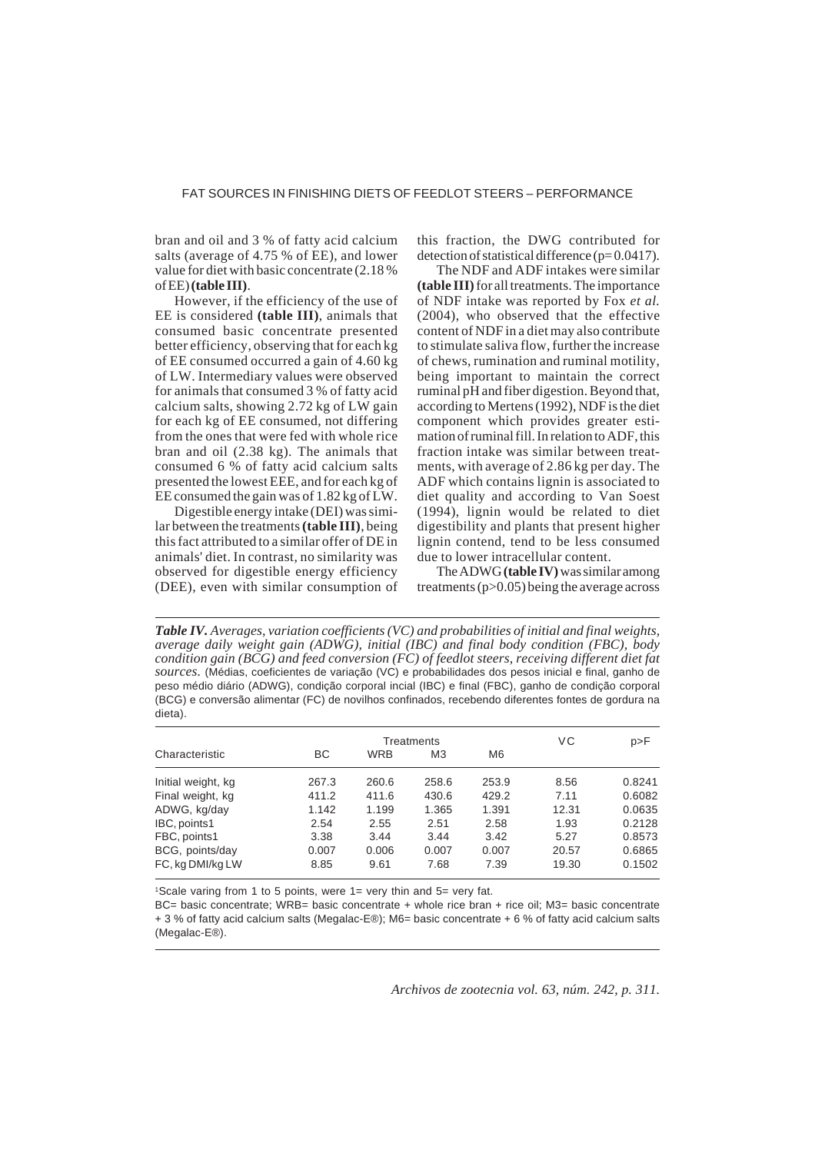# FAT SOURCES IN FINISHING DIETS OF FEEDLOT STEERS – PERFORMANCE

bran and oil and 3 % of fatty acid calcium salts (average of 4.75 % of EE), and lower value for diet with basic concentrate (2.18 % of EE) **(table III)**.

However, if the efficiency of the use of EE is considered **(table III)**, animals that consumed basic concentrate presented better efficiency, observing that for each kg of EE consumed occurred a gain of 4.60 kg of LW. Intermediary values were observed for animals that consumed 3 % of fatty acid calcium salts, showing 2.72 kg of LW gain for each kg of EE consumed, not differing from the ones that were fed with whole rice bran and oil (2.38 kg). The animals that consumed 6 % of fatty acid calcium salts presented the lowest EEE, and for each kg of EE consumed the gain was of 1.82 kg of LW.

Digestible energy intake (DEI) was similar between the treatments **(table III)**, being this fact attributed to a similar offer of DE in animals' diet. In contrast, no similarity was observed for digestible energy efficiency (DEE), even with similar consumption of

this fraction, the DWG contributed for detection of statistical difference ( $p=0.0417$ ).

The NDF and ADF intakes were similar **(table III)** for all treatments. The importance of NDF intake was reported by Fox *et al.* (2004), who observed that the effective content of NDF in a diet may also contribute to stimulate saliva flow, further the increase of chews, rumination and ruminal motility, being important to maintain the correct ruminal pH and fiber digestion. Beyond that, according to Mertens (1992), NDF is the diet component which provides greater estimation of ruminal fill. In relation to ADF, this fraction intake was similar between treatments, with average of 2.86 kg per day. The ADF which contains lignin is associated to diet quality and according to Van Soest (1994), lignin would be related to diet digestibility and plants that present higher lignin contend, tend to be less consumed due to lower intracellular content.

The ADWG **(table IV)** was similar among treatments (p>0.05) being the average across

*Table IV. Averages, variation coefficients (VC) and probabilities of initial and final weights, average daily weight gain (ADWG), initial (IBC) and final body condition (FBC), body condition gain (BCG) and feed conversion (FC) of feedlot steers, receiving different diet fat sources.* (Médias, coeficientes de variação (VC) e probabilidades dos pesos inicial e final, ganho de peso médio diário (ADWG), condição corporal incial (IBC) e final (FBC), ganho de condição corporal (BCG) e conversão alimentar (FC) de novilhos confinados, recebendo diferentes fontes de gordura na dieta).

|                    |       | Treatments | VC             | p > F          |       |        |
|--------------------|-------|------------|----------------|----------------|-------|--------|
| Characteristic     | ВC    | <b>WRB</b> | M <sub>3</sub> | M <sub>6</sub> |       |        |
| Initial weight, kg | 267.3 | 260.6      | 258.6          | 253.9          | 8.56  | 0.8241 |
| Final weight, kg   | 411.2 | 411.6      | 430.6          | 429.2          | 7.11  | 0.6082 |
| ADWG, kg/day       | 1.142 | 1.199      | 1.365          | 1.391          | 12.31 | 0.0635 |
| IBC, points1       | 2.54  | 2.55       | 2.51           | 2.58           | 1.93  | 0.2128 |
| FBC, points1       | 3.38  | 3.44       | 3.44           | 3.42           | 5.27  | 0.8573 |
| BCG, points/day    | 0.007 | 0.006      | 0.007          | 0.007          | 20.57 | 0.6865 |
| FC, kg DMI/kg LW   | 8.85  | 9.61       | 7.68           | 7.39           | 19.30 | 0.1502 |

1Scale varing from 1 to 5 points, were 1= very thin and 5= very fat.

BC= basic concentrate; WRB= basic concentrate + whole rice bran + rice oil; M3= basic concentrate + 3 % of fatty acid calcium salts (Megalac-E®); M6= basic concentrate + 6 % of fatty acid calcium salts (Megalac-E®).

*Archivos de zootecnia vol. 63, núm. 242, p. 311.*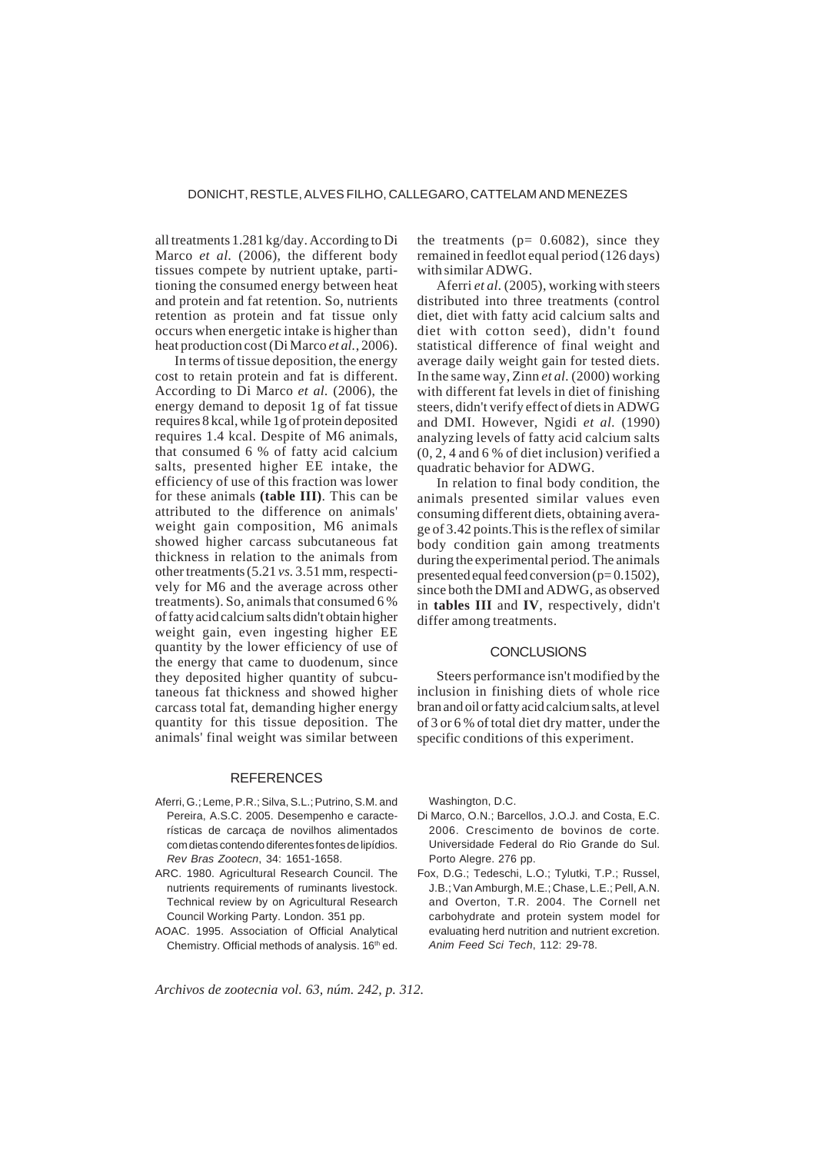all treatments 1.281 kg/day. According to Di Marco *et al.* (2006), the different body tissues compete by nutrient uptake, partitioning the consumed energy between heat and protein and fat retention. So, nutrients retention as protein and fat tissue only occurs when energetic intake is higher than heat production cost (Di Marco *et al.*, 2006).

In terms of tissue deposition, the energy cost to retain protein and fat is different. According to Di Marco *et al.* (2006), the energy demand to deposit 1g of fat tissue requires 8 kcal, while 1g of protein deposited requires 1.4 kcal. Despite of M6 animals, that consumed 6 % of fatty acid calcium salts, presented higher EE intake, the efficiency of use of this fraction was lower for these animals **(table III)**. This can be attributed to the difference on animals' weight gain composition, M6 animals showed higher carcass subcutaneous fat thickness in relation to the animals from other treatments (5.21 *vs.* 3.51 mm, respectively for M6 and the average across other treatments). So, animals that consumed 6 % of fatty acid calcium salts didn't obtain higher weight gain, even ingesting higher EE quantity by the lower efficiency of use of the energy that came to duodenum, since they deposited higher quantity of subcutaneous fat thickness and showed higher carcass total fat, demanding higher energy quantity for this tissue deposition. The animals' final weight was similar between

#### **REFERENCES**

- Aferri, G.; Leme, P.R.; Silva, S.L.; Putrino, S.M. and Pereira, A.S.C. 2005. Desempenho e características de carcaça de novilhos alimentados com dietas contendo diferentes fontes de lipídios. *Rev Bras Zootecn*, 34: 1651-1658.
- ARC. 1980. Agricultural Research Council. The nutrients requirements of ruminants livestock. Technical review by on Agricultural Research Council Working Party. London. 351 pp.
- AOAC. 1995. Association of Official Analytical Chemistry. Official methods of analysis. 16<sup>th</sup> ed.

the treatments ( $p= 0.6082$ ), since they remained in feedlot equal period (126 days) with similar ADWG.

Aferri *et al.* (2005), working with steers distributed into three treatments (control diet, diet with fatty acid calcium salts and diet with cotton seed), didn't found statistical difference of final weight and average daily weight gain for tested diets. In the same way, Zinn *et al.* (2000) working with different fat levels in diet of finishing steers, didn't verify effect of diets in ADWG and DMI. However, Ngidi *et al.* (1990) analyzing levels of fatty acid calcium salts (0, 2, 4 and 6 % of diet inclusion) verified a quadratic behavior for ADWG.

In relation to final body condition, the animals presented similar values even consuming different diets, obtaining average of 3.42 points.This is the reflex of similar body condition gain among treatments during the experimental period. The animals presented equal feed conversion (p= 0.1502), since both the DMI and ADWG, as observed in **tables III** and **IV**, respectively, didn't differ among treatments.

#### **CONCLUSIONS**

Steers performance isn't modified by the inclusion in finishing diets of whole rice bran and oil or fatty acid calcium salts, at level of 3 or 6 % of total diet dry matter, under the specific conditions of this experiment.

Washington, D.C.

- Di Marco, O.N.; Barcellos, J.O.J. and Costa, E.C. 2006. Crescimento de bovinos de corte*.* Universidade Federal do Rio Grande do Sul. Porto Alegre. 276 pp.
- Fox, D.G.; Tedeschi, L.O.; Tylutki, T.P.; Russel, J.B.; Van Amburgh, M.E.; Chase, L.E.; Pell, A.N. and Overton, T.R. 2004. The Cornell net carbohydrate and protein system model for evaluating herd nutrition and nutrient excretion. *Anim Feed Sci Tech*, 112: 29-78.

*Archivos de zootecnia vol. 63, núm. 242, p. 312.*